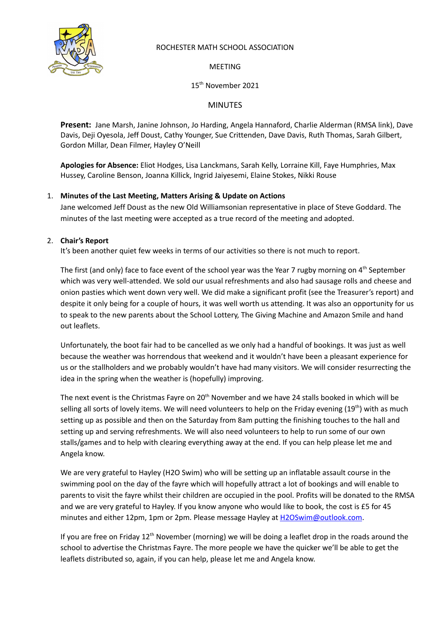

# ROCHESTER MATH SCHOOL ASSOCIATION

MEETING

15 th November 2021

# MINUTES

**Present:** Jane Marsh, Janine Johnson, Jo Harding, Angela Hannaford, Charlie Alderman (RMSA link), Dave Davis, Deji Oyesola, Jeff Doust, Cathy Younger, Sue Crittenden, Dave Davis, Ruth Thomas, Sarah Gilbert, Gordon Millar, Dean Filmer, Hayley O'Neill

**Apologies for Absence:** Eliot Hodges, Lisa Lanckmans, Sarah Kelly, Lorraine Kill, Faye Humphries, Max Hussey, Caroline Benson, Joanna Killick, Ingrid Jaiyesemi, Elaine Stokes, Nikki Rouse

# 1. **Minutes of the Last Meeting, Matters Arising & Update on Actions**

Jane welcomed Jeff Doust as the new Old Williamsonian representative in place of Steve Goddard. The minutes of the last meeting were accepted as a true record of the meeting and adopted.

## 2. **Chair's Report**

It's been another quiet few weeks in terms of our activities so there is not much to report.

The first (and only) face to face event of the school year was the Year 7 rugby morning on 4<sup>th</sup> September which was very well-attended. We sold our usual refreshments and also had sausage rolls and cheese and onion pasties which went down very well. We did make a significant profit (see the Treasurer's report) and despite it only being for a couple of hours, it was well worth us attending. It was also an opportunity for us to speak to the new parents about the School Lottery, The Giving Machine and Amazon Smile and hand out leaflets.

Unfortunately, the boot fair had to be cancelled as we only had a handful of bookings. It was just as well because the weather was horrendous that weekend and it wouldn't have been a pleasant experience for us or the stallholders and we probably wouldn't have had many visitors. We will consider resurrecting the idea in the spring when the weather is (hopefully) improving.

The next event is the Christmas Fayre on 20<sup>th</sup> November and we have 24 stalls booked in which will be selling all sorts of lovely items. We will need volunteers to help on the Friday evening (19<sup>th</sup>) with as much setting up as possible and then on the Saturday from 8am putting the finishing touches to the hall and setting up and serving refreshments. We will also need volunteers to help to run some of our own stalls/games and to help with clearing everything away at the end. If you can help please let me and Angela know.

We are very grateful to Hayley (H2O Swim) who will be setting up an inflatable assault course in the swimming pool on the day of the fayre which will hopefully attract a lot of bookings and will enable to parents to visit the fayre whilst their children are occupied in the pool. Profits will be donated to the RMSA and we are very grateful to Hayley. If you know anyone who would like to book, the cost is £5 for 45 minutes and either 12pm, 1pm or 2pm. Please message Hayley at [H2OSwim@outlook.com](mailto:H2OSwim@outlook.com).

If you are free on Friday 12<sup>th</sup> November (morning) we will be doing a leaflet drop in the roads around the school to advertise the Christmas Fayre. The more people we have the quicker we'll be able to get the leaflets distributed so, again, if you can help, please let me and Angela know.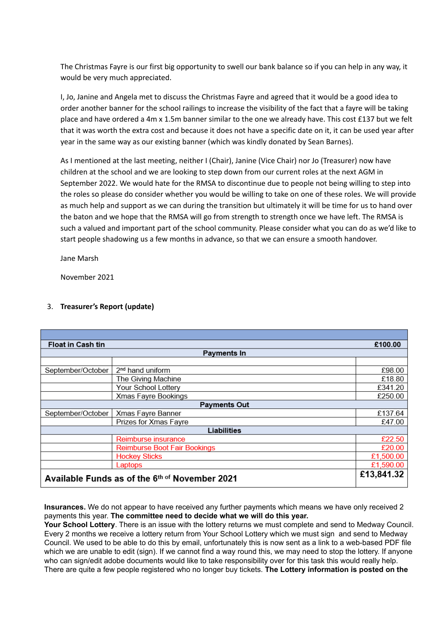The Christmas Fayre is our first big opportunity to swell our bank balance so if you can help in any way, it would be very much appreciated.

I, Jo, Janine and Angela met to discuss the Christmas Fayre and agreed that it would be a good idea to order another banner for the school railings to increase the visibility of the fact that a fayre will be taking place and have ordered a 4m x 1.5m banner similar to the one we already have. This cost £137 but we felt that it was worth the extra cost and because it does not have a specific date on it, it can be used year after year in the same way as our existing banner (which was kindly donated by Sean Barnes).

As I mentioned at the last meeting, neither I (Chair), Janine (Vice Chair) nor Jo (Treasurer) now have children at the school and we are looking to step down from our current roles at the next AGM in September 2022. We would hate for the RMSA to discontinue due to people not being willing to step into the roles so please do consider whether you would be willing to take on one of these roles. We will provide as much help and support as we can during the transition but ultimately it will be time for us to hand over the baton and we hope that the RMSA will go from strength to strength once we have left. The RMSA is such a valued and important part of the school community. Please consider what you can do as we'd like to start people shadowing us a few months in advance, so that we can ensure a smooth handover.

Jane Marsh

November 2021

| <b>Float in Cash tin</b>                       |                                     |           |  |  |  |
|------------------------------------------------|-------------------------------------|-----------|--|--|--|
| <b>Payments In</b>                             |                                     |           |  |  |  |
|                                                |                                     |           |  |  |  |
| September/October                              | 2 <sup>nd</sup> hand uniform        | £98.00    |  |  |  |
|                                                | The Giving Machine                  | £18.80    |  |  |  |
|                                                | Your School Lottery                 | £341.20   |  |  |  |
|                                                | Xmas Fayre Bookings                 | £250.00   |  |  |  |
| <b>Payments Out</b>                            |                                     |           |  |  |  |
| September/October                              | Xmas Fayre Banner                   | £137.64   |  |  |  |
|                                                | Prizes for Xmas Fayre               | £47.00    |  |  |  |
| Liabilities                                    |                                     |           |  |  |  |
|                                                | Reimburse insurance                 | £22.50    |  |  |  |
|                                                | <b>Reimburse Boot Fair Bookings</b> | £20.00    |  |  |  |
|                                                | <b>Hockey Sticks</b>                | £1,500.00 |  |  |  |
|                                                | Laptops                             | £1,590.00 |  |  |  |
| Available Funds as of the 6th of November 2021 |                                     |           |  |  |  |

## 3. **Treasurer's Report (update)**

**Insurances.** We do not appear to have received any further payments which means we have only received 2 payments this year. **The committee need to decide what we will do this year.**

**Your School Lottery**. There is an issue with the lottery returns we must complete and send to Medway Council. Every 2 months we receive a lottery return from Your School Lottery which we must sign and send to Medway Council. We used to be able to do this by email, unfortunately this is now sent as a link to a web-based PDF file which we are unable to edit (sign). If we cannot find a way round this, we may need to stop the lottery. If anyone who can sign/edit adobe documents would like to take responsibility over for this task this would really help. There are quite a few people registered who no longer buy tickets. **The Lottery information is posted on the**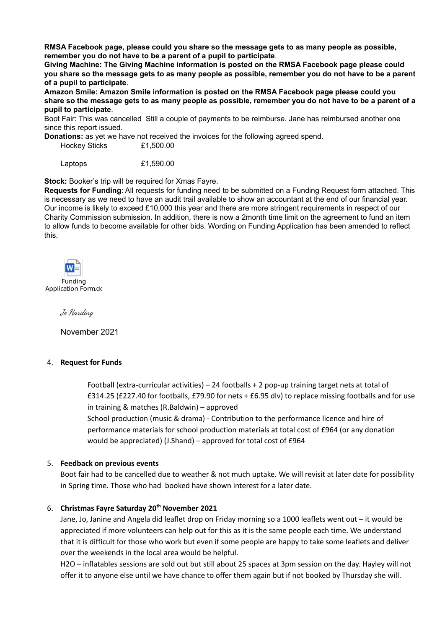**RMSA Facebook page, please could you share so the message gets to as many people as possible, remember you do not have to be a parent of a pupil to participate**.

**Giving Machine: The Giving Machine information is posted on the RMSA Facebook page please could** you share so the message gets to as many people as possible, remember you do not have to be a parent **of a pupil to participate**.

**Amazon Smile: Amazon Smile information is posted on the RMSA Facebook page please could you** share so the message gets to as many people as possible, remember you do not have to be a parent of a **pupil to participate**.

Boot Fair: This was cancelled Still a couple of payments to be reimburse. Jane has reimbursed another one since this report issued.

**Donations:** as yet we have not received the invoices for the following agreed spend.

Hockey Sticks £1,500.00

Laptops £1,590.00

**Stock:** Booker's trip will be required for Xmas Fayre.

**Requests for Funding**: All requests for funding need to be submitted on a Funding Request form attached. This is necessary as we need to have an audit trail available to show an accountant at the end of our financial year. Our income is likely to exceed £10,000 this year and there are more stringent requirements in respect of our Charity Commission submission. In addition, there is now a 2month time limit on the agreement to fund an item to allow funds to become available for other bids. Wording on Funding Application has been amended to reflect this.



Funding Application Form.do

Jo Harding

November 2021

#### 4. **Request for Funds**

Football (extra-curricular activities) – 24 footballs + 2 pop-up training target nets at total of £314.25 (£227.40 for footballs, £79.90 for nets + £6.95 dlv) to replace missing footballs and for use in training & matches (R.Baldwin) – approved

School production (music & drama) - Contribution to the performance licence and hire of performance materials for school production materials at total cost of £964 (or any donation would be appreciated) (J.Shand) – approved for total cost of £964

#### 5. **Feedback on previous events**

Boot fair had to be cancelled due to weather & not much uptake. We will revisit at later date for possibility in Spring time. Those who had booked have shown interest for a later date.

#### 6. **Christmas Fayre Saturday 20 th November 2021**

Jane, Jo, Janine and Angela did leaflet drop on Friday morning so a 1000 leaflets went out – it would be appreciated if more volunteers can help out for this as it is the same people each time. We understand that it is difficult for those who work but even if some people are happy to take some leaflets and deliver over the weekends in the local area would be helpful.

H2O – inflatables sessions are sold out but still about 25 spaces at 3pm session on the day. Hayley will not offer it to anyone else until we have chance to offer them again but if not booked by Thursday she will.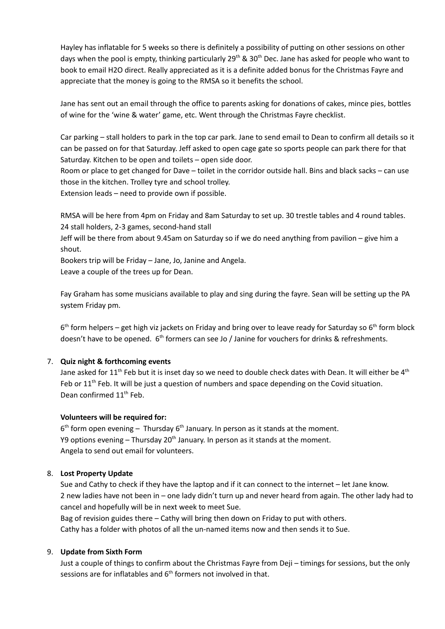Hayley has inflatable for 5 weeks so there is definitely a possibility of putting on other sessions on other days when the pool is empty, thinking particularly 29<sup>th</sup> & 30<sup>th</sup> Dec. Jane has asked for people who want to book to email H2O direct. Really appreciated as it is a definite added bonus for the Christmas Fayre and appreciate that the money is going to the RMSA so it benefits the school.

Jane has sent out an email through the office to parents asking for donations of cakes, mince pies, bottles of wine for the 'wine & water' game, etc. Went through the Christmas Fayre checklist.

Car parking – stall holders to park in the top car park. Jane to send email to Dean to confirm all details so it can be passed on for that Saturday. Jeff asked to open cage gate so sports people can park there for that Saturday. Kitchen to be open and toilets – open side door.

Room or place to get changed for Dave – toilet in the corridor outside hall. Bins and black sacks – can use those in the kitchen. Trolley tyre and school trolley.

Extension leads – need to provide own if possible.

RMSA will be here from 4pm on Friday and 8am Saturday to set up. 30 trestle tables and 4 round tables. 24 stall holders, 2-3 games, second-hand stall

Jeff will be there from about 9.45am on Saturday so if we do need anything from pavilion – give him a shout.

Bookers trip will be Friday – Jane, Jo, Janine and Angela. Leave a couple of the trees up for Dean.

Fay Graham has some musicians available to play and sing during the fayre. Sean will be setting up the PA system Friday pm.

6<sup>th</sup> form helpers – get high viz jackets on Friday and bring over to leave ready for Saturday so 6<sup>th</sup> form block doesn't have to be opened.  $6<sup>th</sup>$  formers can see Jo / Janine for vouchers for drinks & refreshments.

## 7. **Quiz night & forthcoming events**

Jane asked for 11<sup>th</sup> Feb but it is inset day so we need to double check dates with Dean. It will either be 4<sup>th</sup> Feb or 11<sup>th</sup> Feb. It will be just a question of numbers and space depending on the Covid situation. Dean confirmed 11<sup>th</sup> Feb.

#### **Volunteers will be required for:**

 $6<sup>th</sup>$  form open evening – Thursday  $6<sup>th</sup>$  January. In person as it stands at the moment. Y9 options evening – Thursday 20<sup>th</sup> January. In person as it stands at the moment. Angela to send out email for volunteers.

#### 8. **Lost Property Update**

Sue and Cathy to check if they have the laptop and if it can connect to the internet – let Jane know. 2 new ladies have not been in – one lady didn't turn up and never heard from again. The other lady had to cancel and hopefully will be in next week to meet Sue.

Bag of revision guides there – Cathy will bring then down on Friday to put with others. Cathy has a folder with photos of all the un-named items now and then sends it to Sue.

## 9. **Update from Sixth Form**

Just a couple of things to confirm about the Christmas Fayre from Deji – timings for sessions, but the only sessions are for inflatables and 6<sup>th</sup> formers not involved in that.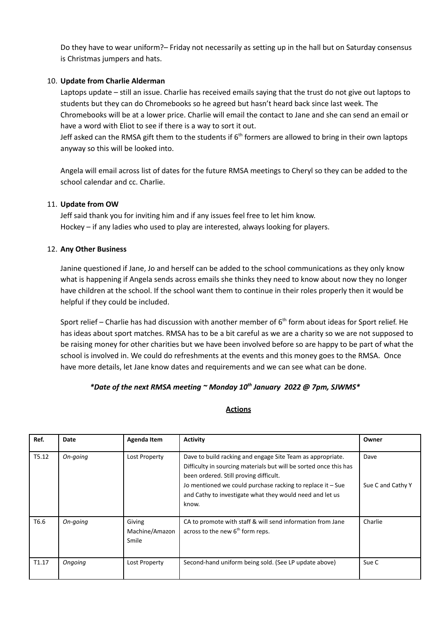Do they have to wear uniform?– Friday not necessarily as setting up in the hall but on Saturday consensus is Christmas jumpers and hats.

### 10. **Update from Charlie Alderman**

Laptops update – still an issue. Charlie has received emails saying that the trust do not give out laptops to students but they can do Chromebooks so he agreed but hasn't heard back since last week. The Chromebooks will be at a lower price. Charlie will email the contact to Jane and she can send an email or have a word with Eliot to see if there is a way to sort it out.

Jeff asked can the RMSA gift them to the students if  $6<sup>th</sup>$  formers are allowed to bring in their own laptops anyway so this will be looked into.

Angela will email across list of dates for the future RMSA meetings to Cheryl so they can be added to the school calendar and cc. Charlie.

### 11. **Update from OW**

Jeff said thank you for inviting him and if any issues feel free to let him know. Hockey – if any ladies who used to play are interested, always looking for players.

### 12. **Any Other Business**

Janine questioned if Jane, Jo and herself can be added to the school communications as they only know what is happening if Angela sends across emails she thinks they need to know about now they no longer have children at the school. If the school want them to continue in their roles properly then it would be helpful if they could be included.

Sport relief – Charlie has had discussion with another member of  $6<sup>th</sup>$  form about ideas for Sport relief. He has ideas about sport matches. RMSA has to be a bit careful as we are a charity so we are not supposed to be raising money for other charities but we have been involved before so are happy to be part of what the school is involved in. We could do refreshments at the events and this money goes to the RMSA. Once have more details, let Jane know dates and requirements and we can see what can be done.

## *\*Date of the next RMSA meeting ~ Monday 10 th January 2022 @ 7pm, SJWMS\**

#### **Actions**

| Ref.              | Date     | Agenda Item                       | <b>Activity</b>                                                                                                                                                                                                                                                                                              | Owner                     |
|-------------------|----------|-----------------------------------|--------------------------------------------------------------------------------------------------------------------------------------------------------------------------------------------------------------------------------------------------------------------------------------------------------------|---------------------------|
| T5.12             | On-going | Lost Property                     | Dave to build racking and engage Site Team as appropriate.<br>Difficulty in sourcing materials but will be sorted once this has<br>been ordered. Still proving difficult.<br>Jo mentioned we could purchase racking to replace it - Sue<br>and Cathy to investigate what they would need and let us<br>know. | Dave<br>Sue C and Cathy Y |
| T6.6              | On-going | Giving<br>Machine/Amazon<br>Smile | CA to promote with staff & will send information from Jane<br>across to the new $6th$ form reps.                                                                                                                                                                                                             | Charlie                   |
| T <sub>1.17</sub> | Ongoing  | Lost Property                     | Second-hand uniform being sold. (See LP update above)                                                                                                                                                                                                                                                        | Sue C                     |